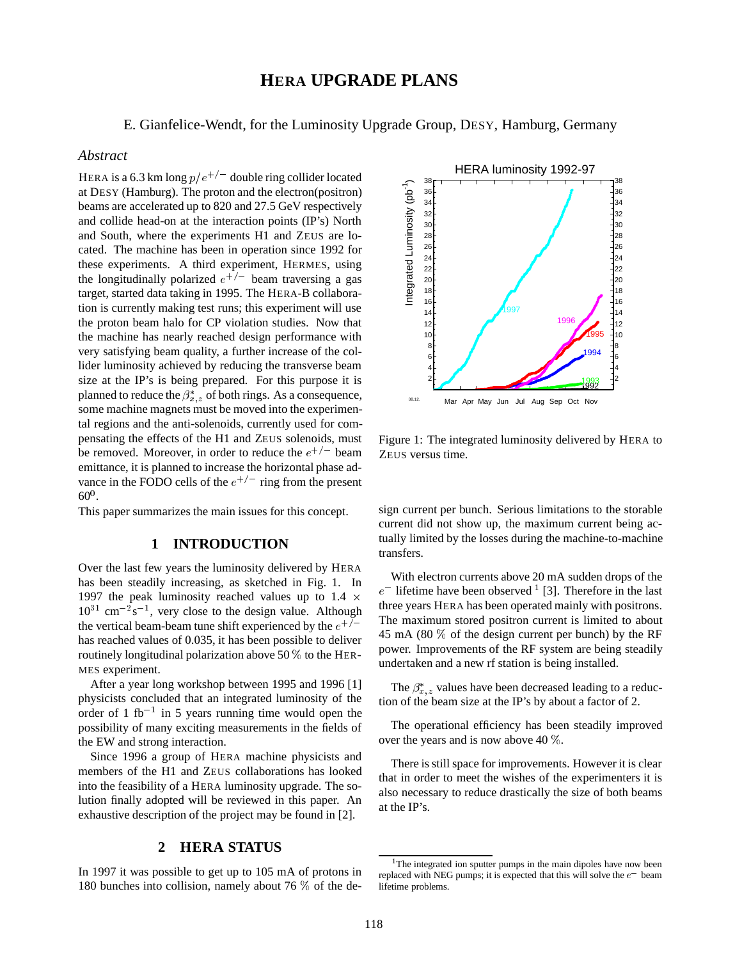# **HERA UPGRADE PLANS**

E. Gianfelice-Wendt, for the Luminosity Upgrade Group, DESY, Hamburg, Germany

### *Abstract*

HERA is a 6.3 km long  $p/e^{+/-}$  double ring collider located at DESY (Hamburg). The proton and the electron(positron) beams are accelerated up to 820 and 27.5 GeV respectively and collide head-on at the interaction points (IP's) North and South, where the experiments H1 and ZEUS are located. The machine has been in operation since 1992 for these experiments. A third experiment, HERMES, using the longitudinally polarized  $e^{+/-}$  beam traversing a gas target, started data taking in 1995. The HERA-B collaboration is currently making test runs; this experiment will use the proton beam halo for CP violation studies. Now that the machine has nearly reached design performance with very satisfying beam quality, a further increase of the collider luminosity achieved by reducing the transverse beam size at the IP's is being prepared. For this purpose it is planned to reduce the  $\beta_{r}^*$  of both rings. As a consequence, some machine magnets must be moved into the experimental regions and the anti-solenoids, currently used for compensating the effects of the H1 and ZEUS solenoids, must be removed. Moreover, in order to reduce the  $e^{+/-}$  beam  $Z$ emittance, it is planned to increase the horizontal phase advance in the FODO cells of the  $e^{+/-}$  ring from the present  $60^0$ .

This paper summarizes the main issues for this concept.

#### **1 INTRODUCTION**

Over the last few years the luminosity delivered by HERA has been steadily increasing, as sketched in Fig. 1. In 1997 the peak luminosity reached values up to 1.4  $\times$  $10^{31}$  cm<sup>-2</sup>s<sup>-1</sup>, very close to the design value. Although the vertical beam-beam tune shift experienced by the  $e^{+/-}$ has reached values of 0.035, it has been possible to deliver routinely longitudinal polarization above 50  $\%$  to the HER-MES experiment.

After a year long workshop between 1995 and 1996 [1] physicists concluded that an integrated luminosity of the order of 1 fb<sup>-1</sup> in 5 years running time would open the possibility of many exciting measurements in the fields of the EW and strong interaction.

Since 1996 a group of HERA machine physicists and members of the H1 and ZEUS collaborations has looked into the feasibility of a HERA luminosity upgrade. The solution finally adopted will be reviewed in this paper. An exhaustive description of the project may be found in [2].

### **2 HERA STATUS**

In 1997 it was possible to get up to 105 mA of protons in 180 bunches into collision, namely about 76 % of the de-



Figure 1: The integrated luminosity delivered by HERA to ZEUS versus time.

sign current per bunch. Serious limitations to the storable current did not show up, the maximum current being actually limited by the losses during the machine-to-machine transfers.

 three years HERA has been operated mainly with positrons. With electron currents above 20 mA sudden drops of the  $e^-$  lifetime have been observed <sup>1</sup> [3]. Therefore in the last The maximum stored positron current is limited to about 45 mA (80 % of the design current per bunch) by the RF power. Improvements of the RF system are being steadily undertaken and a new rf station is being installed.

The  $\beta_{x,z}^*$  values have been decreased leading to a reduction of the beam size at the IP's by about a factor of 2.

The operational efficiency has been steadily improved over the years and is now above 40 %.

There is still space for improvements. However it is clear that in order to meet the wishes of the experimenters it is also necessary to reduce drastically the size of both beams at the IP's.

<sup>&</sup>lt;sup>1</sup>The integrated ion sputter pumps in the main dipoles have now been replaced with NEG pumps; it is expected that this will solve the  $e^-$  beam lifetime problems.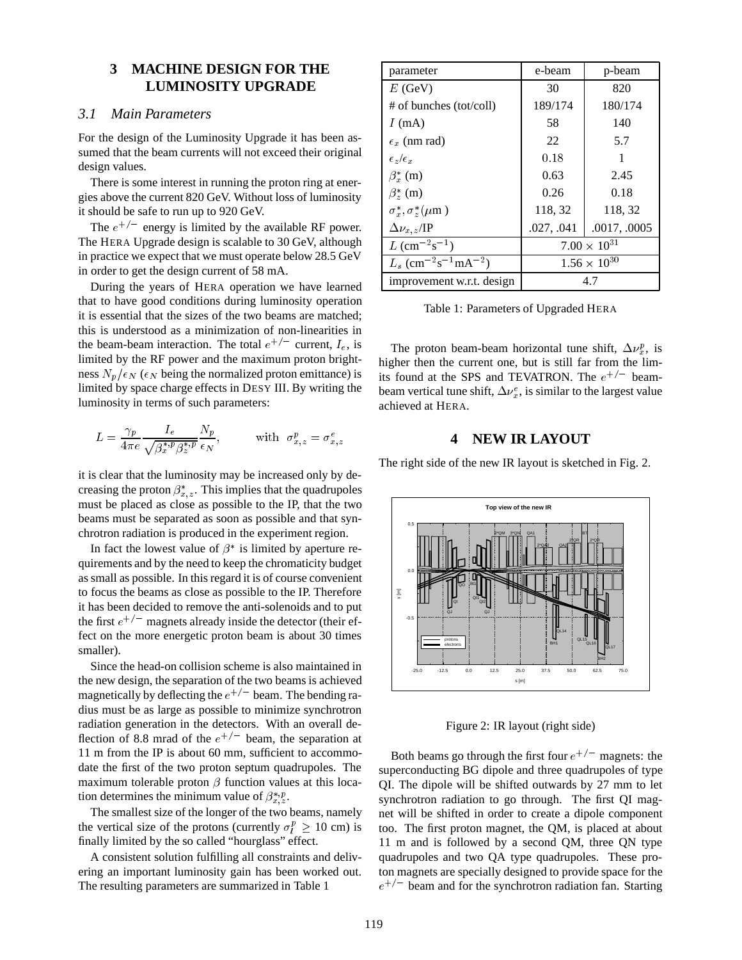### **3 MACHINE DESIGN FOR THE LUMINOSITY UPGRADE**

### *3.1 Main Parameters*

For the design of the Luminosity Upgrade it has been assumed that the beam currents will not exceed their original design values.

There is some interest in running the proton ring at energies above the current 820 GeV. Without loss of luminosity it should be safe to run up to 920 GeV.

The  $e^{+/-}$  energy is limited by the available RF power. The HERA Upgrade design is scalable to 30 GeV, although in practice we expect that we must operate below 28.5 GeV in order to get the design current of 58 mA.

During the years of HERA operation we have learned that to have good conditions during luminosity operation it is essential that the sizes of the two beams are matched; this is understood as a minimization of non-linearities in the beam-beam interaction. The total  $e^{+/-}$  current,  $I_e$ , is limited by the RF power and the maximum proton brightness  $N_p/\epsilon_N$  ( $\epsilon_N$  being the normalized proton emittance) is limited by space charge effects in DESY III. By writing the luminosity in terms of such parameters:

$$
L = \frac{\gamma_p}{4\pi e} \frac{I_e}{\sqrt{\beta_x^{*,p} \beta_z^{*,p}}} \frac{N_p}{\epsilon_N}, \quad \text{with } \sigma_{x,z}^p = \sigma_{x,z}^e
$$

it is clear that the luminosity may be increased only by decreasing the proton  $\beta_{x,z}^*$ . This implies that the quadrupoles must be placed as close as possible to the IP, that the two beams must be separated as soon as possible and that synchrotron radiation is produced in the experiment region.

In fact the lowest value of  $\beta^*$  is limited by aperture requirements and by the need to keep the chromaticity budget as small as possible. In this regard it is of course convenient to focus the beams as close as possible to the IP. Therefore it has been decided to remove the anti-solenoids and to put the first  $e^{+/-}$  magnets already inside the detector (their effect on the more energetic proton beam is about 30 times smaller).

Since the head-on collision scheme is also maintained in the new design, the separation of the two beams is achieved magnetically by deflecting the  $e^{+/-}$  beam. The bending radius must be as large as possible to minimize synchrotron radiation generation in the detectors. With an overall deflection of 8.8 mrad of the  $e^{+/-}$  beam, the separation at 11 m from the IP is about 60 mm, sufficient to accommodate the first of the two proton septum quadrupoles. The maximum tolerable proton  $\beta$  function values at this location determines the minimum value of  $\beta_{x,z}^{*,p}$ .

The smallest size of the longer of the two beams, namely the vertical size of the protons (currently  $\sigma_l^p \ge 10$  cm) is finally limited by the so called "hourglass" effect.

A consistent solution fulfilling all constraints and delivering an important luminosity gain has been worked out. The resulting parameters are summarized in Table 1

| parameter                                                  | e-beam                | p-beam       |
|------------------------------------------------------------|-----------------------|--------------|
| $E$ (GeV)                                                  | 30                    | 820          |
| # of bunches (tot/coll)                                    | 189/174               | 180/174      |
| I(mA)                                                      | 58                    | 140          |
| $\epsilon_x$ (nm rad)                                      | 22                    | 5.7          |
| $\epsilon_z/\epsilon_x$                                    | 0.18                  |              |
| $\beta_x^*$ (m)                                            | 0.63                  | 2.45         |
| $\beta^*_{\gamma}(m)$                                      | 0.26                  | 0.18         |
| $\sigma_x^*, \sigma_z^*(\mu m)$                            | 118, 32               | 118, 32      |
| $\Delta \nu_{x,z}$ /IP                                     | .027, .041            | .0017, .0005 |
| $L$ (cm <sup>-2</sup> s <sup>-1</sup> )                    | $7.00 \times 10^{31}$ |              |
| $L_s$ (cm <sup>-2</sup> s <sup>-1</sup> mA <sup>-2</sup> ) | $1.56 \times 10^{30}$ |              |
| improvement w.r.t. design                                  | 4.7                   |              |

|  | Table 1: Parameters of Upgraded HERA |  |  |
|--|--------------------------------------|--|--|
|--|--------------------------------------|--|--|

The proton beam-beam horizontal tune shift,  $\Delta \nu_x^p$ , is higher then the current one, but is still far from the limits found at the SPS and TEVATRON. The  $e^{+/-}$  beambeam vertical tune shift,  $\Delta \nu_r^e$ , is similar to the largest value achieved at HERA.

### **4 NEW IR LAYOUT**

The right side of the new IR layout is sketched in Fig. 2.



Figure 2: IR layout (right side)

Both beams go through the first four  $e^{+/-}$  magnets: the superconducting BG dipole and three quadrupoles of type QI. The dipole will be shifted outwards by 27 mm to let synchrotron radiation to go through. The first QI magnet will be shifted in order to create a dipole component too. The first proton magnet, the QM, is placed at about 11 m and is followed by a second QM, three QN type quadrupoles and two QA type quadrupoles. These proton magnets are specially designed to provide space for the  $e^{+/-}$  beam and for the synchrotron radiation fan. Starting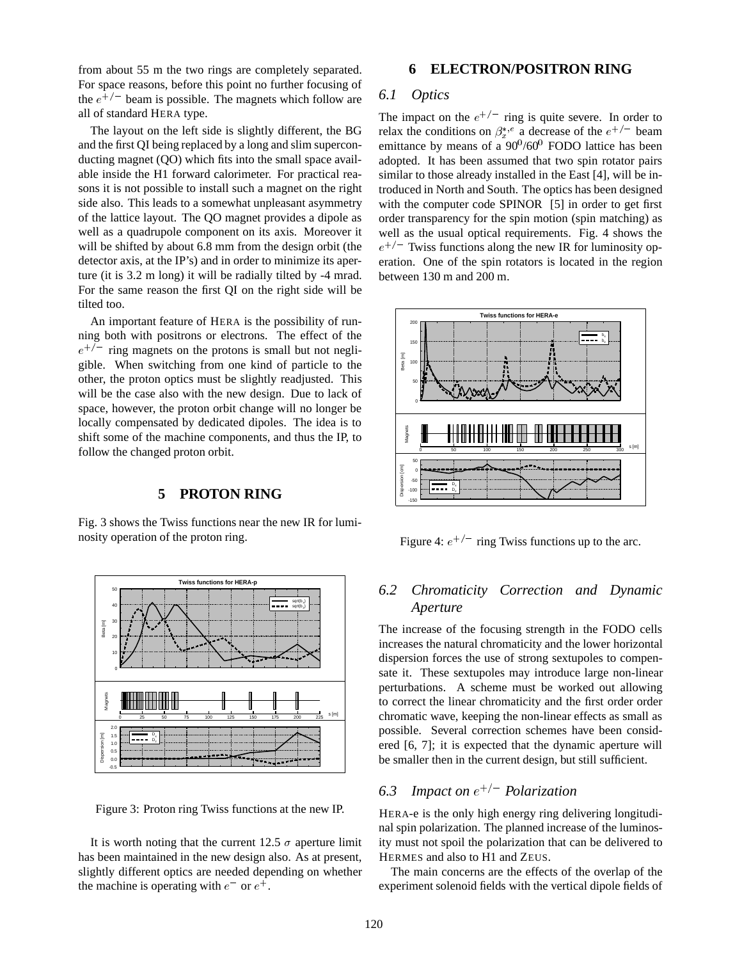from about 55 m the two rings are completely separated. For space reasons, before this point no further focusing of the  $e^{+/-}$  beam is possible. The magnets which follow are all of standard HERA type.

The layout on the left side is slightly different, the BG and the first QI being replaced by a long and slim superconducting magnet (QO) which fits into the small space available inside the H1 forward calorimeter. For practical reasons it is not possible to install such a magnet on the right side also. This leads to a somewhat unpleasant asymmetry of the lattice layout. The QO magnet provides a dipole as well as a quadrupole component on its axis. Moreover it will be shifted by about 6.8 mm from the design orbit (the detector axis, at the IP's) and in order to minimize its aperture (it is 3.2 m long) it will be radially tilted by -4 mrad. For the same reason the first QI on the right side will be tilted too.

An important feature of HERA is the possibility of running both with positrons or electrons. The effect of the  $e^{+/-}$  ring magnets on the protons is small but not negligible. When switching from one kind of particle to the other, the proton optics must be slightly readjusted. This will be the case also with the new design. Due to lack of space, however, the proton orbit change will no longer be locally compensated by dedicated dipoles. The idea is to shift some of the machine components, and thus the IP, to follow the changed proton orbit.

## **5 PROTON RING**

Fig. 3 shows the Twiss functions near the new IR for luminosity operation of the proton ring.



Figure 3: Proton ring Twiss functions at the new IP.

It is worth noting that the current 12.5  $\sigma$  aperture limit has been maintained in the new design also. As at present, slightly different optics are needed depending on whether the machine is operating with  $e^-$  or  $e^+$ .

### **6 ELECTRON/POSITRON RING**

## *6.1 Optics*

The impact on the  $e^{+/-}$  ring is quite severe. In order to relax the conditions on  $\beta_x^{*,e}$  a decrease of the  $e^{+/-}$  beam emittance by means of a  $90\%00$ <sup>0</sup> FODO lattice has been adopted. It has been assumed that two spin rotator pairs similar to those already installed in the East [4], will be introduced in North and South. The optics has been designed with the computer code SPINOR [5] in order to get first order transparency for the spin motion (spin matching) as well as the usual optical requirements. Fig. 4 shows the  $e^{+/-}$  Twiss functions along the new IR for luminosity operation. One of the spin rotators is located in the region between 130 m and 200 m.



Figure 4:  $e^{+/-}$  ring Twiss functions up to the arc.

## *6.2 Chromaticity Correction and Dynamic Aperture*

The increase of the focusing strength in the FODO cells increases the natural chromaticity and the lower horizontal dispersion forces the use of strong sextupoles to compensate it. These sextupoles may introduce large non-linear perturbations. A scheme must be worked out allowing to correct the linear chromaticity and the first order order chromatic wave, keeping the non-linear effects as small as possible. Several correction schemes have been considered [6, 7]; it is expected that the dynamic aperture will be smaller then in the current design, but still sufficient.

## 6.3 Impact on  $e^{+/-}$  Polarization

HERA-e is the only high energy ring delivering longitudinal spin polarization. The planned increase of the luminosity must not spoil the polarization that can be delivered to HERMES and also to H1 and ZEUS.

The main concerns are the effects of the overlap of the experiment solenoid fields with the vertical dipole fields of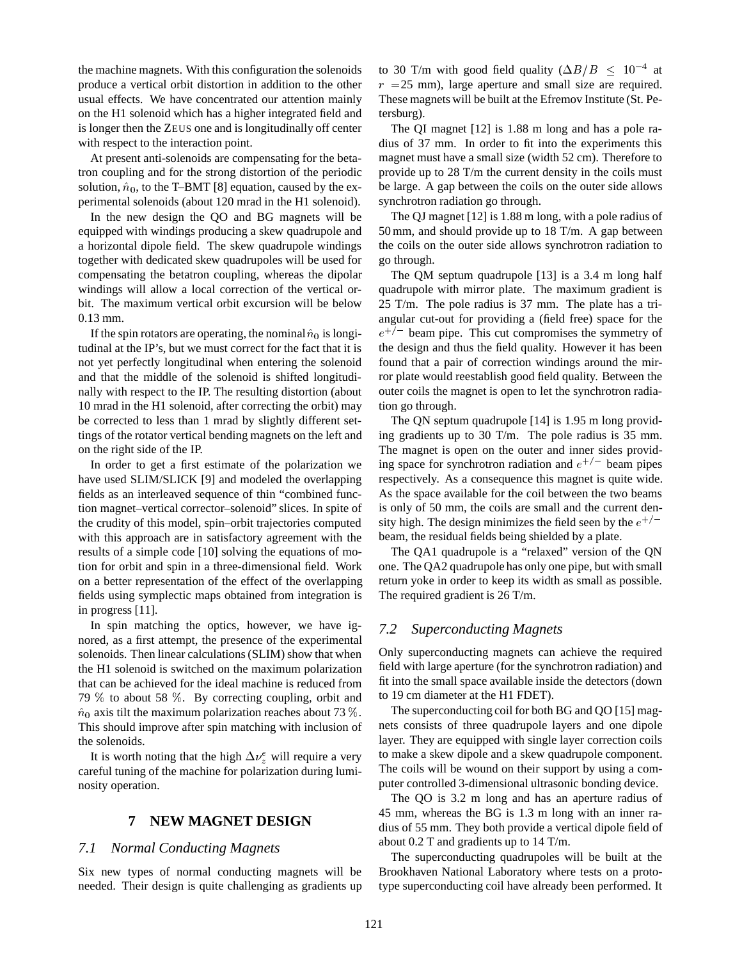the machine magnets. With this configuration the solenoids produce a vertical orbit distortion in addition to the other usual effects. We have concentrated our attention mainly on the H1 solenoid which has a higher integrated field and is longer then the ZEUS one and is longitudinally off center with respect to the interaction point.

At present anti-solenoids are compensating for the betatron coupling and for the strong distortion of the periodic solution,  $\hat{n}_0$ , to the T–BMT [8] equation, caused by the experimental solenoids (about 120 mrad in the H1 solenoid).

In the new design the QO and BG magnets will be equipped with windings producing a skew quadrupole and a horizontal dipole field. The skew quadrupole windings together with dedicated skew quadrupoles will be used for compensating the betatron coupling, whereas the dipolar windings will allow a local correction of the vertical orbit. The maximum vertical orbit excursion will be below 0.13 mm.

If the spin rotators are operating, the nominal  $\hat{n}_0$  is longitudinal at the IP's, but we must correct for the fact that it is not yet perfectly longitudinal when entering the solenoid and that the middle of the solenoid is shifted longitudinally with respect to the IP. The resulting distortion (about 10 mrad in the H1 solenoid, after correcting the orbit) may be corrected to less than 1 mrad by slightly different settings of the rotator vertical bending magnets on the left and on the right side of the IP.

In order to get a first estimate of the polarization we have used SLIM/SLICK [9] and modeled the overlapping fields as an interleaved sequence of thin "combined function magnet–vertical corrector–solenoid" slices. In spite of the crudity of this model, spin–orbit trajectories computed with this approach are in satisfactory agreement with the results of a simple code [10] solving the equations of motion for orbit and spin in a three-dimensional field. Work on a better representation of the effect of the overlapping fields using symplectic maps obtained from integration is in progress [11].

In spin matching the optics, however, we have ignored, as a first attempt, the presence of the experimental solenoids. Then linear calculations (SLIM) show that when the H1 solenoid is switched on the maximum polarization that can be achieved for the ideal machine is reduced from 79 % to about 58 %. By correcting coupling, orbit and  $\hat{n}_0$  axis tilt the maximum polarization reaches about 73 %. This should improve after spin matching with inclusion of the solenoids.

It is worth noting that the high  $\Delta \nu_z^e$  will require a very careful tuning of the machine for polarization during luminosity operation.

### **7 NEW MAGNET DESIGN**

#### *7.1 Normal Conducting Magnets*

Six new types of normal conducting magnets will be needed. Their design is quite challenging as gradients up

to 30 T/m with good field quality ( $\Delta B/B \leq 10^{-4}$  at  $r$  =25 mm), large aperture and small size are required. These magnets will be built at the Efremov Institute (St. Petersburg).

The QI magnet [12] is 1.88 m long and has a pole radius of 37 mm. In order to fit into the experiments this magnet must have a small size (width 52 cm). Therefore to provide up to 28 T/m the current density in the coils must be large. A gap between the coils on the outer side allows synchrotron radiation go through.

The QJ magnet [12] is 1.88 m long, with a pole radius of 50 mm, and should provide up to 18 T/m. A gap between the coils on the outer side allows synchrotron radiation to go through.

The QM septum quadrupole [13] is a 3.4 m long half quadrupole with mirror plate. The maximum gradient is 25 T/m. The pole radius is 37 mm. The plate has a triangular cut-out for providing a (field free) space for the  $e^{+/-}$  beam pipe. This cut compromises the symmetry of the design and thus the field quality. However it has been found that a pair of correction windings around the mirror plate would reestablish good field quality. Between the outer coils the magnet is open to let the synchrotron radiation go through.

The QN septum quadrupole [14] is 1.95 m long providing gradients up to 30 T/m. The pole radius is 35 mm. The magnet is open on the outer and inner sides providing space for synchrotron radiation and  $e^{+/-}$  beam pipes respectively. As a consequence this magnet is quite wide. As the space available for the coil between the two beams is only of 50 mm, the coils are small and the current density high. The design minimizes the field seen by the  $e^{+/-}$ beam, the residual fields being shielded by a plate.

The QA1 quadrupole is a "relaxed" version of the QN one. The QA2 quadrupole has only one pipe, but with small return yoke in order to keep its width as small as possible. The required gradient is 26 T/m.

#### *7.2 Superconducting Magnets*

Only superconducting magnets can achieve the required field with large aperture (for the synchrotron radiation) and fit into the small space available inside the detectors (down to 19 cm diameter at the H1 FDET).

The superconducting coil for both BG and QO [15] magnets consists of three quadrupole layers and one dipole layer. They are equipped with single layer correction coils to make a skew dipole and a skew quadrupole component. The coils will be wound on their support by using a computer controlled 3-dimensional ultrasonic bonding device.

The QO is 3.2 m long and has an aperture radius of 45 mm, whereas the BG is 1.3 m long with an inner radius of 55 mm. They both provide a vertical dipole field of about 0.2 T and gradients up to 14 T/m.

The superconducting quadrupoles will be built at the Brookhaven National Laboratory where tests on a prototype superconducting coil have already been performed. It